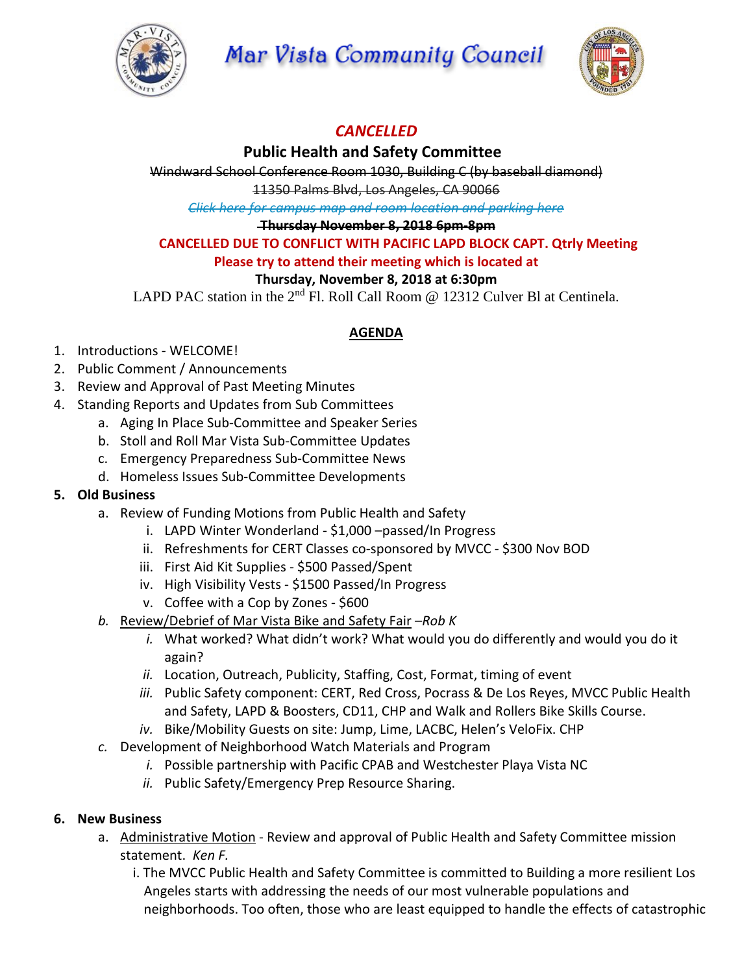

**Mar Vista Community Council** 



# *CANCELLED*

## **Public Health and Safety Committee**

Windward School Conference Room 1030, Building C (by baseball diamond)

11350 Palms Blvd, Los Angeles, CA 90066

*Click here for campus map and room [location](https://windwardschool.myschoolapp.com/ftpimages/176/download/download_1671327.pdf) and parking here*

#### **Thursday November 8, 2018 6pm-8pm**

### **CANCELLED DUE TO CONFLICT WITH PACIFIC LAPD BLOCK CAPT. Qtrly Meeting**

## **Please try to attend their meeting which is located at**

## **Thursday, November 8, 2018 at 6:30pm**

LAPD PAC station in the 2<sup>nd</sup> Fl. Roll Call Room @ 12312 Culver Bl at Centinela.

#### **AGENDA**

- 1. Introductions WELCOME!
- 2. Public Comment / Announcements
- 3. Review and Approval of Past Meeting Minutes
- 4. Standing Reports and Updates from Sub Committees
	- a. Aging In Place Sub-Committee and Speaker Series
	- b. Stoll and Roll Mar Vista Sub-Committee Updates
	- c. Emergency Preparedness Sub-Committee News
	- d. Homeless Issues Sub-Committee Developments

#### **5. Old Business**

- a. Review of Funding Motions from Public Health and Safety
	- i. LAPD Winter Wonderland \$1,000 –passed/In Progress
	- ii. Refreshments for CERT Classes co-sponsored by MVCC \$300 Nov BOD
	- iii. First Aid Kit Supplies \$500 Passed/Spent
	- iv. High Visibility Vests \$1500 Passed/In Progress
	- v. Coffee with a Cop by Zones \$600
- *b.* Review/Debrief of Mar Vista Bike and Safety Fair –*Rob K*
	- *i.* What worked? What didn't work? What would you do differently and would you do it again?
	- *ii.* Location, Outreach, Publicity, Staffing, Cost, Format, timing of event
	- *iii.* Public Safety component: CERT, Red Cross, Pocrass & De Los Reyes, MVCC Public Health and Safety, LAPD & Boosters, CD11, CHP and Walk and Rollers Bike Skills Course.
	- *iv.* Bike/Mobility Guests on site: Jump, Lime, LACBC, Helen's VeloFix. CHP
- *c.* Development of Neighborhood Watch Materials and Program
	- *i.* Possible partnership with Pacific CPAB and Westchester Playa Vista NC
	- *ii.* Public Safety/Emergency Prep Resource Sharing.

## **6. New Business**

- a. Administrative Motion Review and approval of Public Health and Safety Committee mission statement. *Ken F.*
	- i. The MVCC Public Health and Safety Committee is committed to Building a more resilient Los Angeles starts with addressing the needs of our most vulnerable populations and neighborhoods. Too often, those who are least equipped to handle the effects of catastrophic